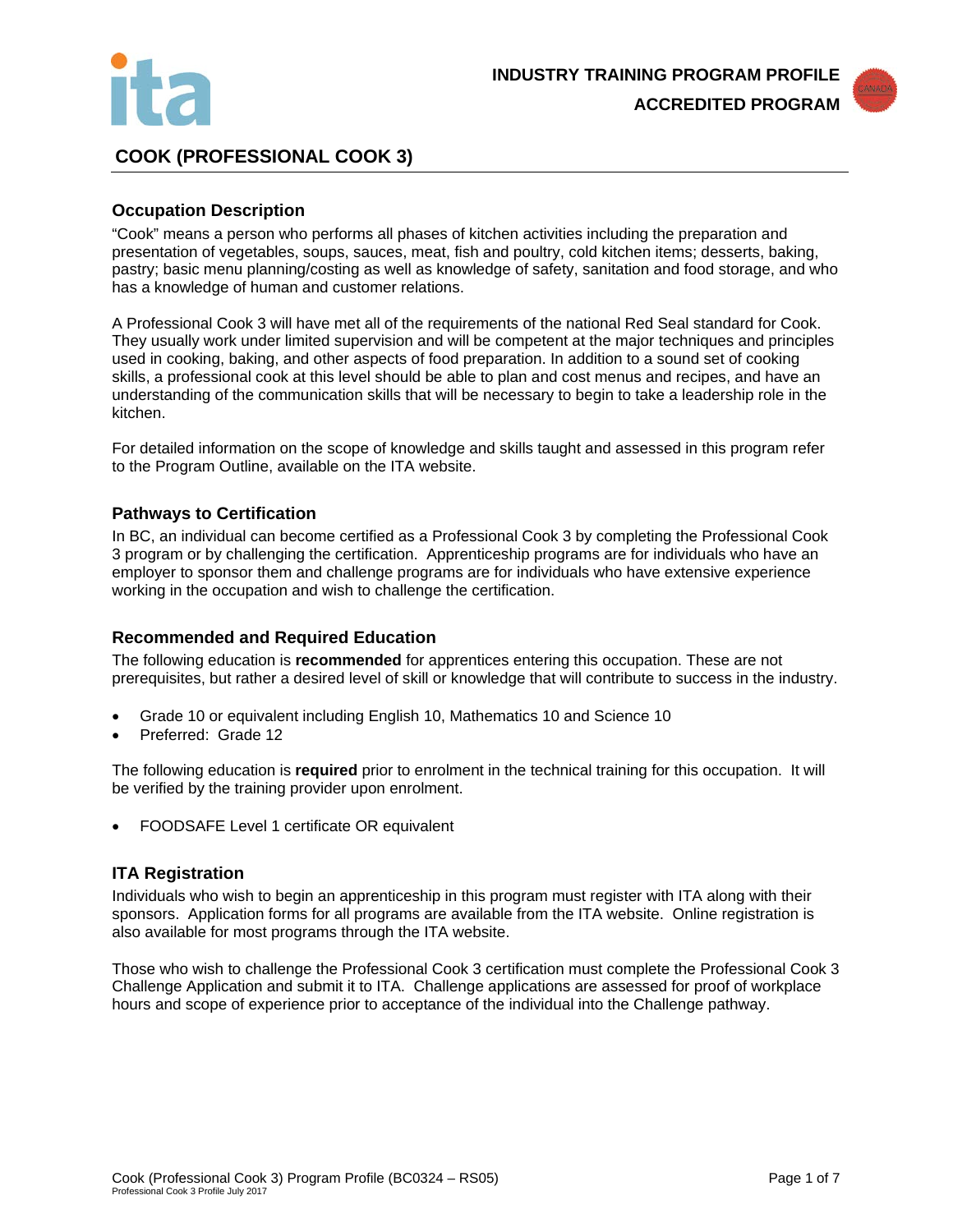



# **COOK (PROFESSIONAL COOK 3)**

## **Occupation Description**

"Cook" means a person who performs all phases of kitchen activities including the preparation and presentation of vegetables, soups, sauces, meat, fish and poultry, cold kitchen items; desserts, baking, pastry; basic menu planning/costing as well as knowledge of safety, sanitation and food storage, and who has a knowledge of human and customer relations.

A Professional Cook 3 will have met all of the requirements of the national Red Seal standard for Cook. They usually work under limited supervision and will be competent at the major techniques and principles used in cooking, baking, and other aspects of food preparation. In addition to a sound set of cooking skills, a professional cook at this level should be able to plan and cost menus and recipes, and have an understanding of the communication skills that will be necessary to begin to take a leadership role in the kitchen.

For detailed information on the scope of knowledge and skills taught and assessed in this program refer to the Program Outline, available on the ITA website.

### **Pathways to Certification**

In BC, an individual can become certified as a Professional Cook 3 by completing the Professional Cook 3 program or by challenging the certification. Apprenticeship programs are for individuals who have an employer to sponsor them and challenge programs are for individuals who have extensive experience working in the occupation and wish to challenge the certification.

### **Recommended and Required Education**

The following education is **recommended** for apprentices entering this occupation. These are not prerequisites, but rather a desired level of skill or knowledge that will contribute to success in the industry.

- Grade 10 or equivalent including English 10, Mathematics 10 and Science 10
- Preferred: Grade 12

The following education is **required** prior to enrolment in the technical training for this occupation. It will be verified by the training provider upon enrolment.

• FOODSAFE Level 1 certificate OR equivalent

### **ITA Registration**

Individuals who wish to begin an apprenticeship in this program must register with ITA along with their sponsors. Application forms for all programs are available from the ITA website. Online registration is also available for most programs through the ITA website.

Those who wish to challenge the Professional Cook 3 certification must complete the Professional Cook 3 Challenge Application and submit it to ITA. Challenge applications are assessed for proof of workplace hours and scope of experience prior to acceptance of the individual into the Challenge pathway.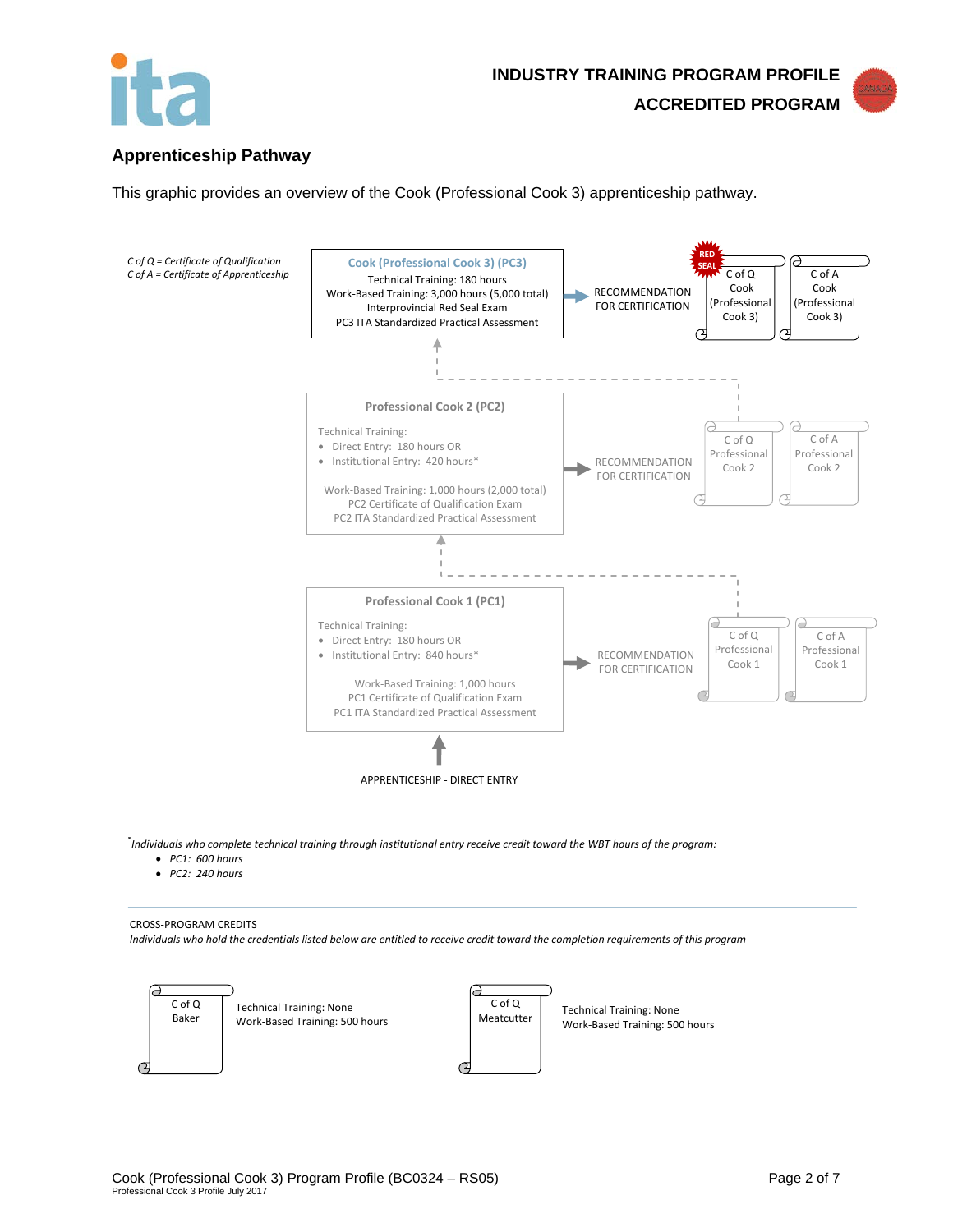



## **Apprenticeship Pathway**

This graphic provides an overview of the Cook (Professional Cook 3) apprenticeship pathway.



\* *Individuals who complete technical training through institutional entry receive credit toward the WBT hours of the program:* 

- *PC1: 600 hours*
- *PC2: 240 hours*

#### CROSS-PROGRAM CREDITS

*Individuals who hold the credentials listed below are entitled to receive credit toward the completion requirements of this program*

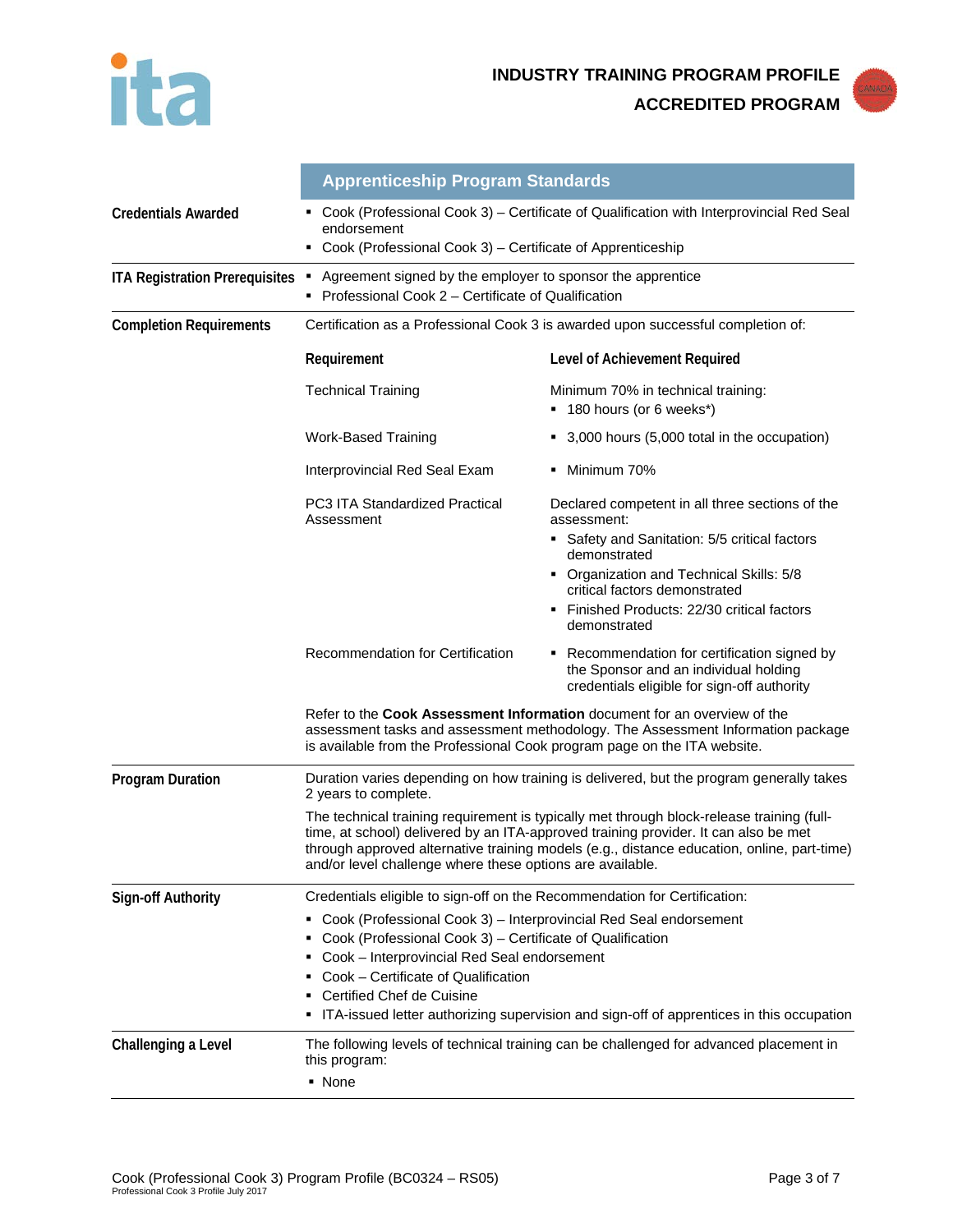



|                                       | <b>Apprenticeship Program Standards</b>                                                                                                                                                                                                                                                                                                                                                                                         |                                                                                                                                         |  |
|---------------------------------------|---------------------------------------------------------------------------------------------------------------------------------------------------------------------------------------------------------------------------------------------------------------------------------------------------------------------------------------------------------------------------------------------------------------------------------|-----------------------------------------------------------------------------------------------------------------------------------------|--|
| <b>Credentials Awarded</b>            | Cook (Professional Cook 3) – Certificate of Qualification with Interprovincial Red Seal<br>endorsement<br>Cook (Professional Cook 3) - Certificate of Apprenticeship                                                                                                                                                                                                                                                            |                                                                                                                                         |  |
| <b>ITA Registration Prerequisites</b> | Agreement signed by the employer to sponsor the apprentice<br>Professional Cook 2 – Certificate of Qualification<br>٠                                                                                                                                                                                                                                                                                                           |                                                                                                                                         |  |
| <b>Completion Requirements</b>        | Certification as a Professional Cook 3 is awarded upon successful completion of:                                                                                                                                                                                                                                                                                                                                                |                                                                                                                                         |  |
|                                       | Requirement                                                                                                                                                                                                                                                                                                                                                                                                                     | Level of Achievement Required                                                                                                           |  |
|                                       | <b>Technical Training</b>                                                                                                                                                                                                                                                                                                                                                                                                       | Minimum 70% in technical training:<br>■ 180 hours (or 6 weeks*)                                                                         |  |
|                                       | Work-Based Training                                                                                                                                                                                                                                                                                                                                                                                                             | 3,000 hours (5,000 total in the occupation)                                                                                             |  |
|                                       | Interprovincial Red Seal Exam                                                                                                                                                                                                                                                                                                                                                                                                   | • Minimum 70%                                                                                                                           |  |
|                                       | <b>PC3 ITA Standardized Practical</b><br>Assessment                                                                                                                                                                                                                                                                                                                                                                             | Declared competent in all three sections of the<br>assessment:                                                                          |  |
|                                       |                                                                                                                                                                                                                                                                                                                                                                                                                                 | • Safety and Sanitation: 5/5 critical factors<br>demonstrated                                                                           |  |
|                                       |                                                                                                                                                                                                                                                                                                                                                                                                                                 | • Organization and Technical Skills: 5/8<br>critical factors demonstrated                                                               |  |
|                                       |                                                                                                                                                                                                                                                                                                                                                                                                                                 | Finished Products: 22/30 critical factors<br>demonstrated                                                                               |  |
|                                       | Recommendation for Certification                                                                                                                                                                                                                                                                                                                                                                                                | Recommendation for certification signed by<br>٠<br>the Sponsor and an individual holding<br>credentials eligible for sign-off authority |  |
|                                       | Refer to the Cook Assessment Information document for an overview of the<br>assessment tasks and assessment methodology. The Assessment Information package<br>is available from the Professional Cook program page on the ITA website.                                                                                                                                                                                         |                                                                                                                                         |  |
| <b>Program Duration</b>               | Duration varies depending on how training is delivered, but the program generally takes<br>2 years to complete.                                                                                                                                                                                                                                                                                                                 |                                                                                                                                         |  |
|                                       | The technical training requirement is typically met through block-release training (full-<br>time, at school) delivered by an ITA-approved training provider. It can also be met<br>through approved alternative training models (e.g., distance education, online, part-time)<br>and/or level challenge where these options are available.                                                                                     |                                                                                                                                         |  |
| <b>Sign-off Authority</b>             | Credentials eligible to sign-off on the Recommendation for Certification:<br>Cook (Professional Cook 3) - Interprovincial Red Seal endorsement<br>Cook (Professional Cook 3) - Certificate of Qualification<br>Cook - Interprovincial Red Seal endorsement<br>٠<br>Cook - Certificate of Qualification<br>Certified Chef de Cuisine<br>ITA-issued letter authorizing supervision and sign-off of apprentices in this occupation |                                                                                                                                         |  |
| Challenging a Level                   | The following levels of technical training can be challenged for advanced placement in<br>this program:<br>• None                                                                                                                                                                                                                                                                                                               |                                                                                                                                         |  |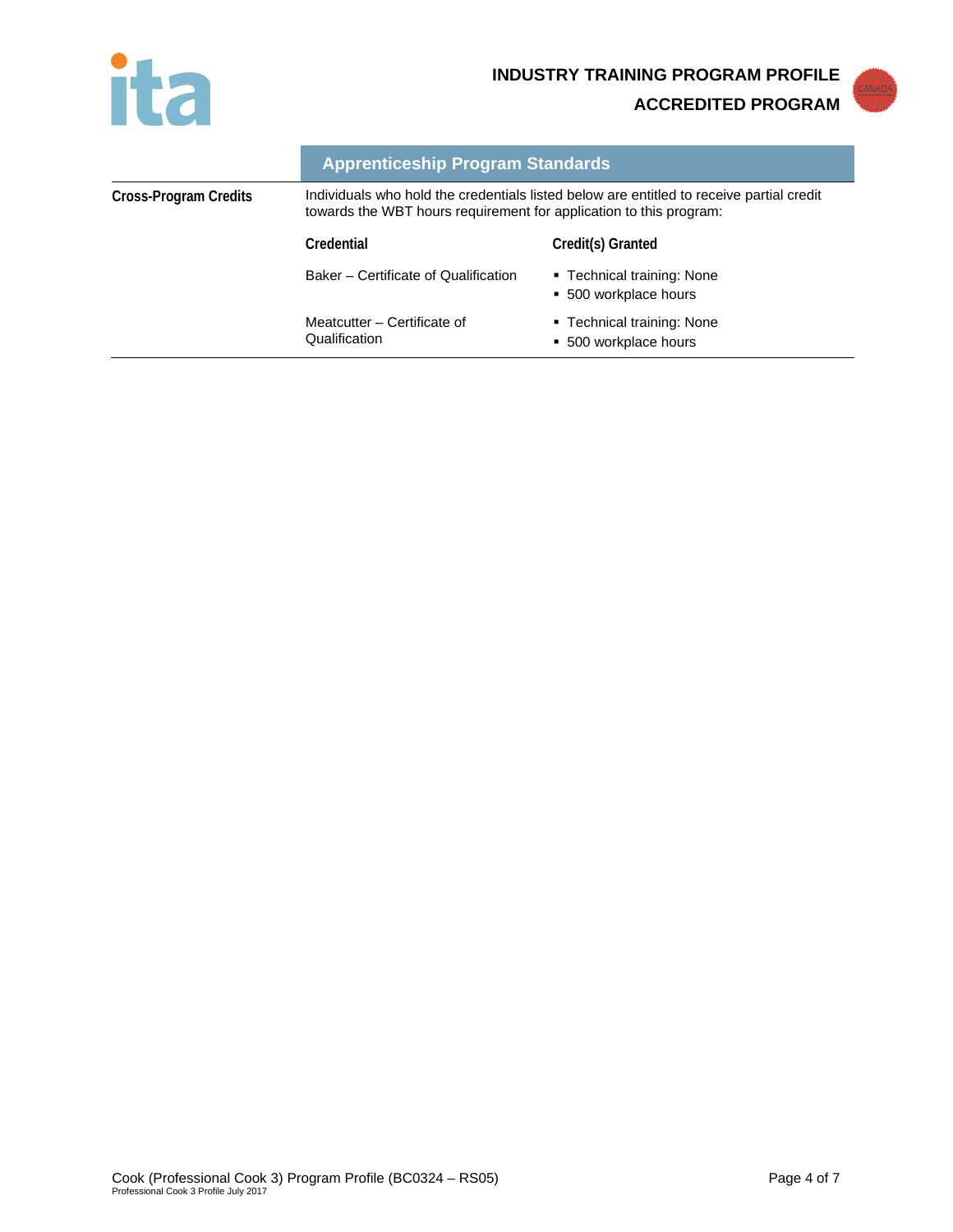



|                       | <b>Apprenticeship Program Standards</b>                                                                                                                        |                                                     |  |
|-----------------------|----------------------------------------------------------------------------------------------------------------------------------------------------------------|-----------------------------------------------------|--|
| Cross-Program Credits | Individuals who hold the credentials listed below are entitled to receive partial credit<br>towards the WBT hours requirement for application to this program: |                                                     |  |
|                       | Credential                                                                                                                                                     | Credit(s) Granted                                   |  |
|                       | Baker – Certificate of Qualification                                                                                                                           | ■ Technical training: None<br>• 500 workplace hours |  |
|                       | Meatcutter – Certificate of<br>Qualification                                                                                                                   | ■ Technical training: None<br>• 500 workplace hours |  |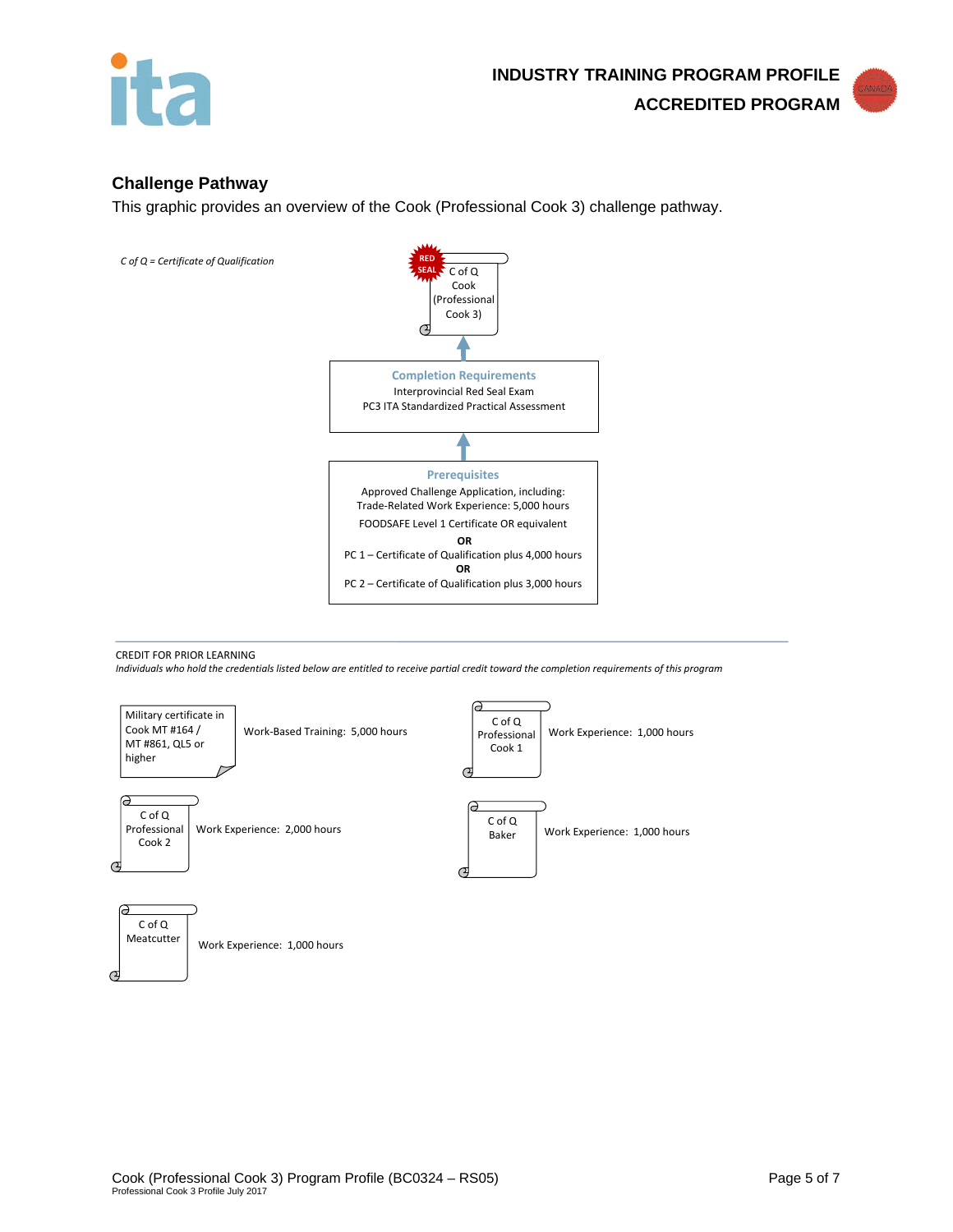

## **Challenge Pathway**

This graphic provides an overview of the Cook (Professional Cook 3) challenge pathway.



CREDIT FOR PRIOR LEARNING *Individuals who hold the credentials listed below are entitled to receive partial credit toward the completion requirements of this program*

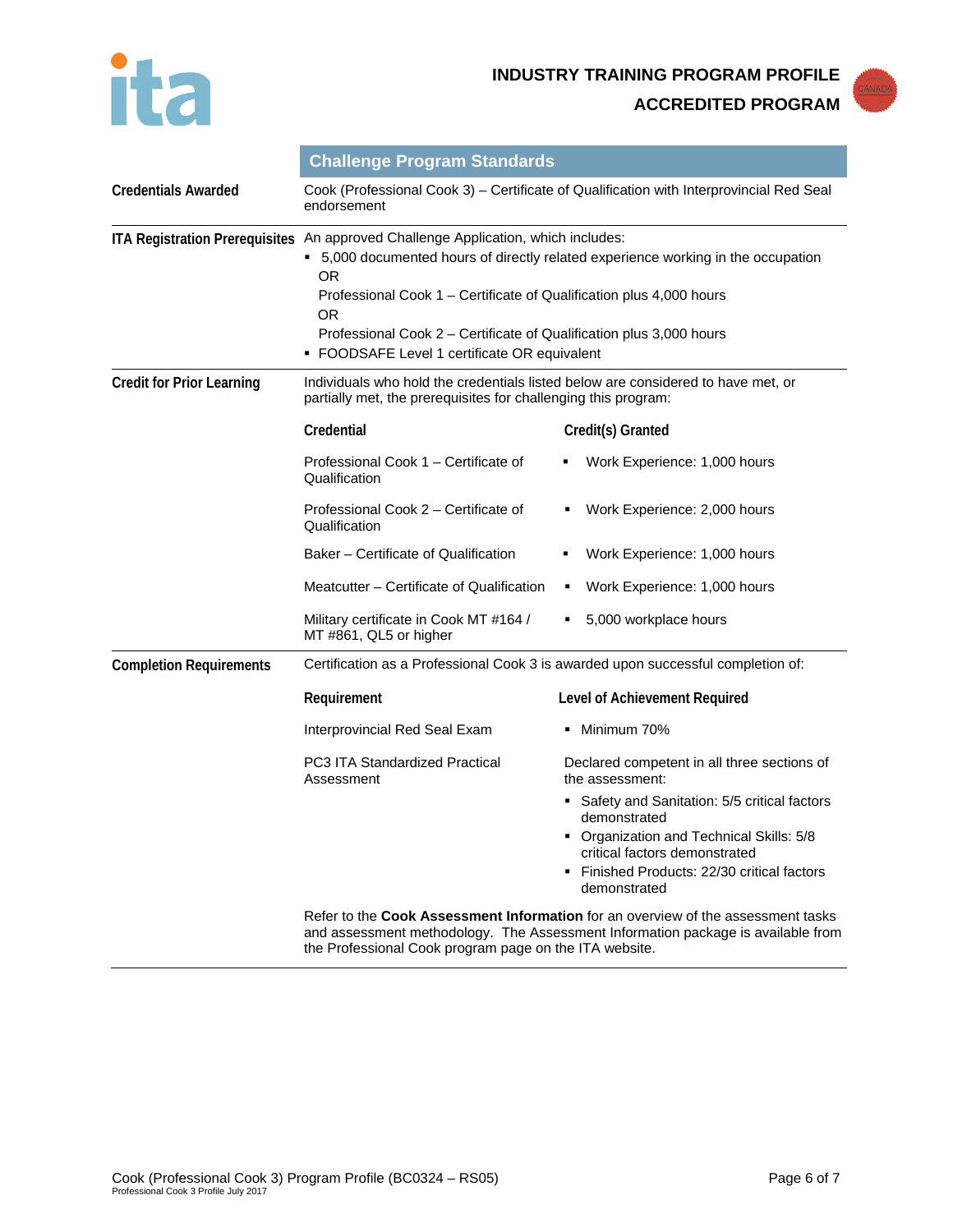



|                                  | <b>Challenge Program Standards</b>                                                                                                                                                                                                                                                                                                                                               |                                                                           |  |
|----------------------------------|----------------------------------------------------------------------------------------------------------------------------------------------------------------------------------------------------------------------------------------------------------------------------------------------------------------------------------------------------------------------------------|---------------------------------------------------------------------------|--|
| <b>Credentials Awarded</b>       | Cook (Professional Cook 3) – Certificate of Qualification with Interprovincial Red Seal<br>endorsement                                                                                                                                                                                                                                                                           |                                                                           |  |
|                                  | ITA Registration Prerequisites An approved Challenge Application, which includes:<br>5,000 documented hours of directly related experience working in the occupation<br>OR.<br>Professional Cook 1 – Certificate of Qualification plus 4,000 hours<br>OR.<br>Professional Cook 2 – Certificate of Qualification plus 3,000 hours<br>• FOODSAFE Level 1 certificate OR equivalent |                                                                           |  |
| <b>Credit for Prior Learning</b> | Individuals who hold the credentials listed below are considered to have met, or<br>partially met, the prerequisites for challenging this program:                                                                                                                                                                                                                               |                                                                           |  |
|                                  | Credential                                                                                                                                                                                                                                                                                                                                                                       | Credit(s) Granted                                                         |  |
|                                  | Professional Cook 1 – Certificate of<br>Qualification                                                                                                                                                                                                                                                                                                                            | Work Experience: 1,000 hours                                              |  |
|                                  | Professional Cook 2 – Certificate of<br>Qualification                                                                                                                                                                                                                                                                                                                            | Work Experience: 2,000 hours<br>٠                                         |  |
|                                  | Baker – Certificate of Qualification                                                                                                                                                                                                                                                                                                                                             | Work Experience: 1,000 hours                                              |  |
|                                  | Meatcutter – Certificate of Qualification                                                                                                                                                                                                                                                                                                                                        | Work Experience: 1,000 hours<br>٠                                         |  |
|                                  | Military certificate in Cook MT #164 /<br>MT #861, QL5 or higher                                                                                                                                                                                                                                                                                                                 | 5,000 workplace hours<br>٠                                                |  |
| <b>Completion Requirements</b>   | Certification as a Professional Cook 3 is awarded upon successful completion of:                                                                                                                                                                                                                                                                                                 |                                                                           |  |
|                                  | Requirement                                                                                                                                                                                                                                                                                                                                                                      | Level of Achievement Required                                             |  |
|                                  | Interprovincial Red Seal Exam                                                                                                                                                                                                                                                                                                                                                    | ■ Minimum 70%                                                             |  |
|                                  | PC3 ITA Standardized Practical<br>Assessment                                                                                                                                                                                                                                                                                                                                     | Declared competent in all three sections of<br>the assessment:            |  |
|                                  |                                                                                                                                                                                                                                                                                                                                                                                  | • Safety and Sanitation: 5/5 critical factors<br>demonstrated             |  |
|                                  |                                                                                                                                                                                                                                                                                                                                                                                  | • Organization and Technical Skills: 5/8<br>critical factors demonstrated |  |
|                                  |                                                                                                                                                                                                                                                                                                                                                                                  | Finished Products: 22/30 critical factors<br>demonstrated                 |  |
|                                  | Refer to the Cook Assessment Information for an overview of the assessment tasks<br>and assessment methodology. The Assessment Information package is available from<br>the Professional Cook program page on the ITA website.                                                                                                                                                   |                                                                           |  |